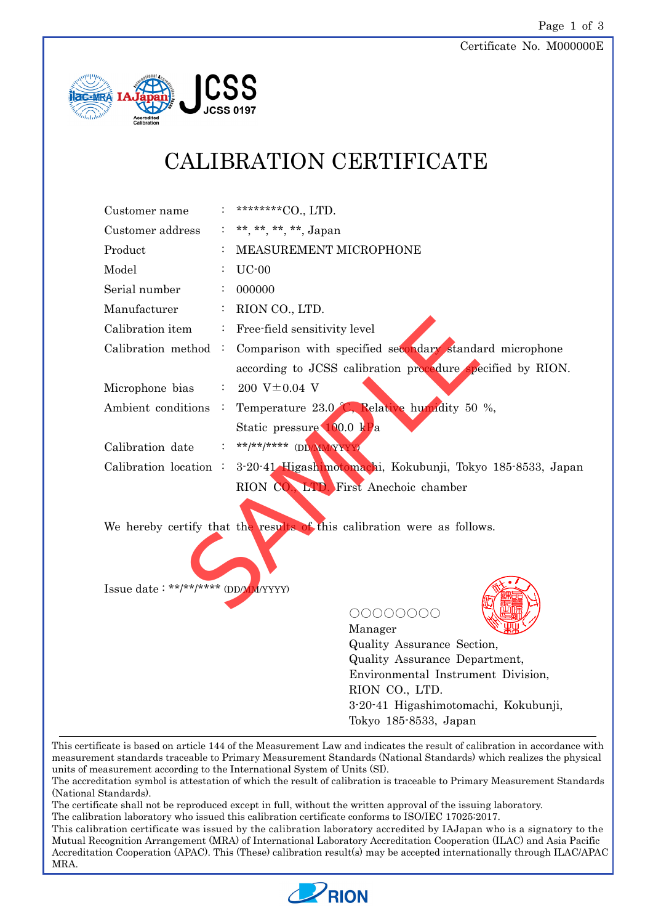

# CALIBRATION CERTIFICATE

| Customer name                      |                | ********CO., LTD.                                                       |
|------------------------------------|----------------|-------------------------------------------------------------------------|
| Customer address                   |                | : **, **, **, **, Japan                                                 |
| Product                            |                | MEASUREMENT MICROPHONE                                                  |
| Model                              |                | $UC-00$                                                                 |
| Serial number                      |                | 000000                                                                  |
| Manufacturer                       |                | RION CO., LTD.                                                          |
| Calibration item                   | $\mathbb{Z}_+$ | Free-field sensitivity level                                            |
| Calibration method :               |                | Comparison with specified secondary standard microphone                 |
|                                    |                | according to JCSS calibration procedure specified by RION.              |
| Microphone bias                    |                | $: 200 \text{ V} \pm 0.04 \text{ V}$                                    |
| Ambient conditions :               |                | Temperature 23.0 C, Relative humidity 50 %,                             |
|                                    |                | Static pressure 100.0 kPa                                               |
| Calibration date                   |                | **/**/***** (DD/MM/XXX                                                  |
| Calibration location:              |                | 3-20-41 Higashimotomachi, Kokubunji, Tokyo 185-8533, Japan              |
|                                    |                | RION CO., LTD. First Anechoic chamber                                   |
|                                    |                |                                                                         |
|                                    |                | We hereby certify that the results of this calibration were as follows. |
|                                    |                |                                                                         |
|                                    |                |                                                                         |
| Issue date: **/**/**** (DD/M/YYYY) |                |                                                                         |
|                                    |                | 00000000                                                                |
|                                    |                | Manager                                                                 |
|                                    |                | $\sim$                                                                  |

Quality Assurance Section, Quality Assurance Department, Environmental Instrument Division, RION CO., LTD. 3-20-41 Higashimotomachi, Kokubunji, Tokyo 185-8533, Japan

This certificate is based on article 144 of the Measurement Law and indicates the result of calibration in accordance with measurement standards traceable to Primary Measurement Standards (National Standards) which realizes the physical units of measurement according to the International System of Units (SI).

The accreditation symbol is attestation of which the result of calibration is traceable to Primary Measurement Standards (National Standards).

The certificate shall not be reproduced except in full, without the written approval of the issuing laboratory.

The calibration laboratory who issued this calibration certificate conforms to ISO/IEC 17025:2017.

This calibration certificate was issued by the calibration laboratory accredited by IAJapan who is a signatory to the Mutual Recognition Arrangement (MRA) of International Laboratory Accreditation Cooperation (ILAC) and Asia Pacific Accreditation Cooperation (APAC). This (These) calibration result(s) may be accepted internationally through ILAC/APAC MRA.

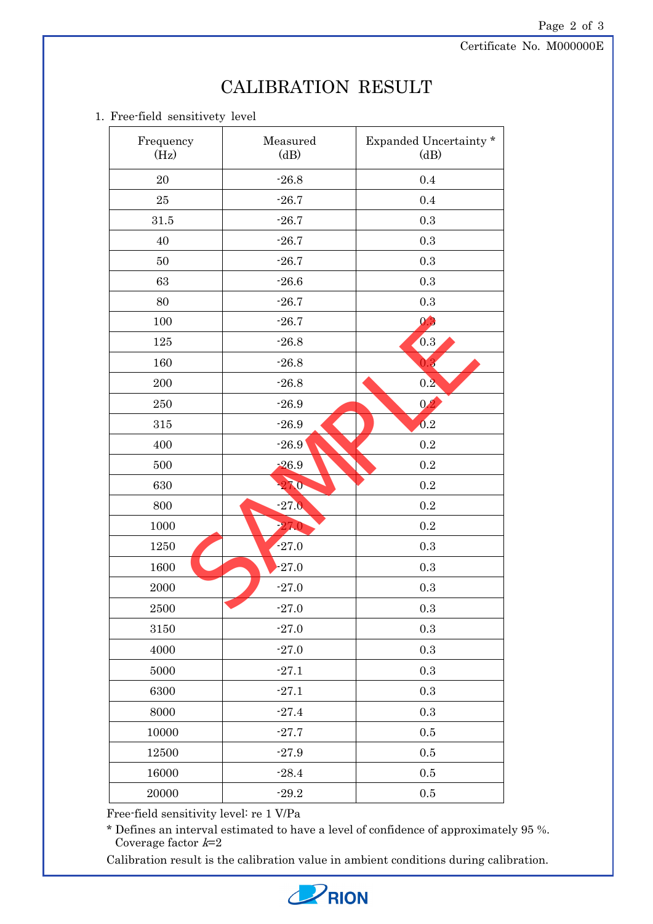Certificate No. M000000E

## Page 2 of 3

#### 1. Free-field sensitivety level

| Frequency<br>(Hz) | Measured<br>(dB) | Expanded Uncertainty *<br>(dB) |
|-------------------|------------------|--------------------------------|
| $20\,$            | $-26.8$          | 0.4                            |
| 25                | $-26.7$          | 0.4                            |
| 31.5              | $-26.7$          | $\rm 0.3$                      |
| 40                | $-26.7$          | $\rm 0.3$                      |
| $50\,$            | $-26.7$          | $\rm 0.3$                      |
| 63                | $-26.6$          | $\rm 0.3$                      |
| 80                | $-26.7$          | $\rm 0.3$                      |
| 100               | $-26.7$          | 0.3                            |
| $125\,$           | $-26.8$          | 0.3                            |
| 160               | $-26.8$          | O.                             |
| 200               | $-26.8$          | 0.2                            |
| 250               | $-26.9$          | 0.2                            |
| $315\,$           | $-26.9$          | 0.2                            |
| 400               | $-26.9$          | $\rm 0.2$                      |
| 500               | $-26.9$          | $\rm 0.2$                      |
| 630               | 27.0             | $\rm 0.2$                      |
| 800               | $-27.0$          | $\rm 0.2$                      |
| 1000              | 27.0             | $\rm 0.2$                      |
| 1250              | $-27.0$          | $\rm 0.3$                      |
| 1600              | $-27.0$          | $\rm 0.3$                      |
| 2000              | $-27.0$          | $\rm 0.3$                      |
| 2500              | $-27.0$          | $\rm 0.3$                      |
| 3150              | $-27.0$          | $\rm 0.3$                      |
| 4000              | $-27.0$          | $\rm 0.3$                      |
| 5000              | $-27.1$          | $\rm 0.3$                      |
| 6300              | $-27.1$          | $\rm 0.3$                      |
| 8000              | $-27.4$          | $\rm 0.3$                      |
| 10000             | $-27.7$          | $0.5\,$                        |
| 12500             | $-27.9$          | $0.5\,$                        |
| 16000             | $-28.4$          | $0.5\,$                        |
| 20000             | $-29.2$          | $0.5\,$                        |

Free-field sensitivity level: re 1 V/Pa

\* Defines an interval estimated to have a level of confidence of approximately 95 %. Coverage factor  $k=2$ 

Calibration result is the calibration value in ambient conditions during calibration.